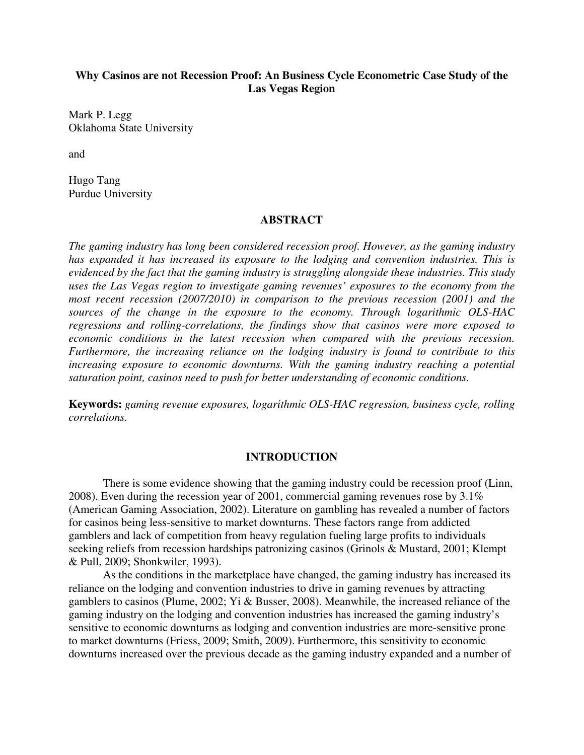# **Why Casinos are not Recession Proof: An Business Cycle Econometric Case Study of the Las Vegas Region**

Mark P. Legg Oklahoma State University

and

Hugo Tang Purdue University

# **ABSTRACT**

*The gaming industry has long been considered recession proof. However, as the gaming industry has expanded it has increased its exposure to the lodging and convention industries. This is evidenced by the fact that the gaming industry is struggling alongside these industries. This study uses the Las Vegas region to investigate gaming revenues' exposures to the economy from the most recent recession (2007/2010) in comparison to the previous recession (2001) and the sources of the change in the exposure to the economy. Through logarithmic OLS-HAC regressions and rolling-correlations, the findings show that casinos were more exposed to economic conditions in the latest recession when compared with the previous recession. Furthermore, the increasing reliance on the lodging industry is found to contribute to this increasing exposure to economic downturns. With the gaming industry reaching a potential saturation point, casinos need to push for better understanding of economic conditions.* 

**Keywords:** *gaming revenue exposures, logarithmic OLS-HAC regression, business cycle, rolling correlations.*

### **INTRODUCTION**

There is some evidence showing that the gaming industry could be recession proof (Linn, 2008). Even during the recession year of 2001, commercial gaming revenues rose by 3.1% (American Gaming Association, 2002). Literature on gambling has revealed a number of factors for casinos being less-sensitive to market downturns. These factors range from addicted gamblers and lack of competition from heavy regulation fueling large profits to individuals seeking reliefs from recession hardships patronizing casinos (Grinols & Mustard, 2001; Klempt & Pull, 2009; Shonkwiler, 1993).

As the conditions in the marketplace have changed, the gaming industry has increased its reliance on the lodging and convention industries to drive in gaming revenues by attracting gamblers to casinos (Plume, 2002; Yi & Busser, 2008). Meanwhile, the increased reliance of the gaming industry on the lodging and convention industries has increased the gaming industry's sensitive to economic downturns as lodging and convention industries are more-sensitive prone to market downturns (Friess, 2009; Smith, 2009). Furthermore, this sensitivity to economic downturns increased over the previous decade as the gaming industry expanded and a number of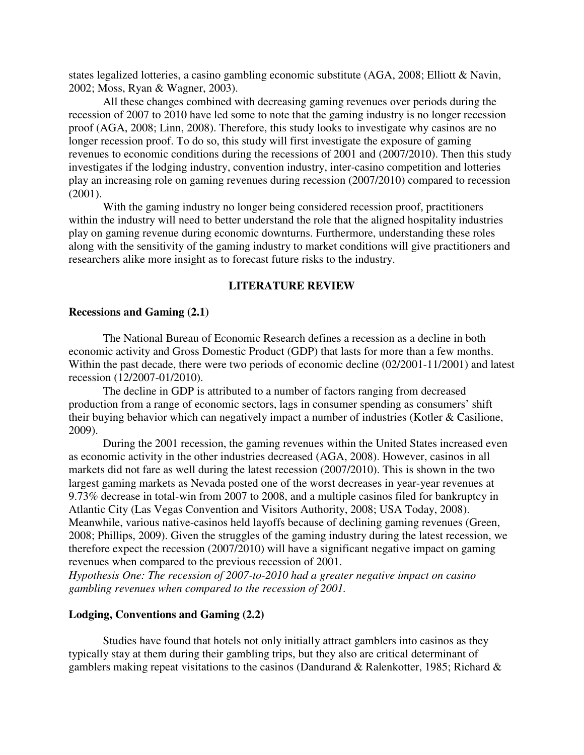states legalized lotteries, a casino gambling economic substitute (AGA, 2008; Elliott & Navin, 2002; Moss, Ryan & Wagner, 2003).

All these changes combined with decreasing gaming revenues over periods during the recession of 2007 to 2010 have led some to note that the gaming industry is no longer recession proof (AGA, 2008; Linn, 2008). Therefore, this study looks to investigate why casinos are no longer recession proof. To do so, this study will first investigate the exposure of gaming revenues to economic conditions during the recessions of 2001 and (2007/2010). Then this study investigates if the lodging industry, convention industry, inter-casino competition and lotteries play an increasing role on gaming revenues during recession (2007/2010) compared to recession (2001).

With the gaming industry no longer being considered recession proof, practitioners within the industry will need to better understand the role that the aligned hospitality industries play on gaming revenue during economic downturns. Furthermore, understanding these roles along with the sensitivity of the gaming industry to market conditions will give practitioners and researchers alike more insight as to forecast future risks to the industry.

# **LITERATURE REVIEW**

#### **Recessions and Gaming (2.1)**

The National Bureau of Economic Research defines a recession as a decline in both economic activity and Gross Domestic Product (GDP) that lasts for more than a few months. Within the past decade, there were two periods of economic decline (02/2001-11/2001) and latest recession (12/2007-01/2010).

The decline in GDP is attributed to a number of factors ranging from decreased production from a range of economic sectors, lags in consumer spending as consumers' shift their buying behavior which can negatively impact a number of industries (Kotler & Casilione, 2009).

During the 2001 recession, the gaming revenues within the United States increased even as economic activity in the other industries decreased (AGA, 2008). However, casinos in all markets did not fare as well during the latest recession (2007/2010). This is shown in the two largest gaming markets as Nevada posted one of the worst decreases in year-year revenues at 9.73% decrease in total-win from 2007 to 2008, and a multiple casinos filed for bankruptcy in Atlantic City (Las Vegas Convention and Visitors Authority, 2008; USA Today, 2008). Meanwhile, various native-casinos held layoffs because of declining gaming revenues (Green, 2008; Phillips, 2009). Given the struggles of the gaming industry during the latest recession, we therefore expect the recession (2007/2010) will have a significant negative impact on gaming revenues when compared to the previous recession of 2001.

*Hypothesis One: The recession of 2007-to-2010 had a greater negative impact on casino gambling revenues when compared to the recession of 2001.* 

# **Lodging, Conventions and Gaming (2.2)**

Studies have found that hotels not only initially attract gamblers into casinos as they typically stay at them during their gambling trips, but they also are critical determinant of gamblers making repeat visitations to the casinos (Dandurand & Ralenkotter, 1985; Richard &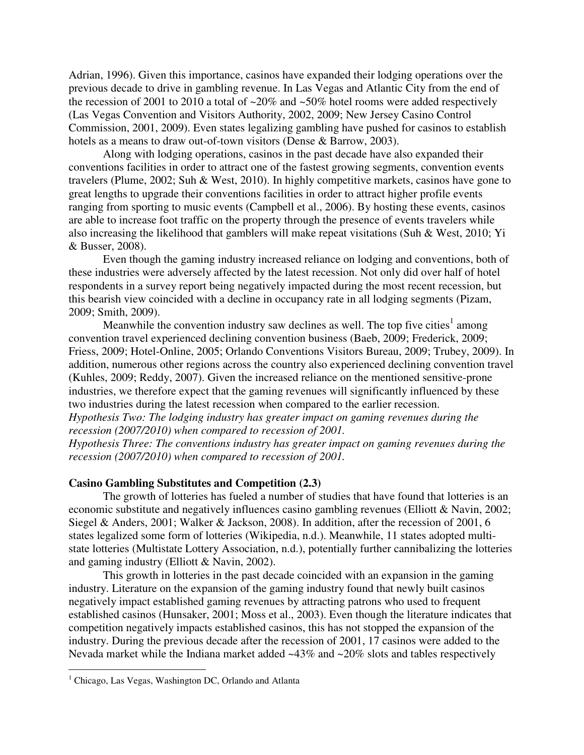Adrian, 1996). Given this importance, casinos have expanded their lodging operations over the previous decade to drive in gambling revenue. In Las Vegas and Atlantic City from the end of the recession of 2001 to 2010 a total of  $\sim 20\%$  and  $\sim 50\%$  hotel rooms were added respectively (Las Vegas Convention and Visitors Authority, 2002, 2009; New Jersey Casino Control Commission, 2001, 2009). Even states legalizing gambling have pushed for casinos to establish hotels as a means to draw out-of-town visitors (Dense & Barrow, 2003).

Along with lodging operations, casinos in the past decade have also expanded their conventions facilities in order to attract one of the fastest growing segments, convention events travelers (Plume, 2002; Suh & West, 2010). In highly competitive markets, casinos have gone to great lengths to upgrade their conventions facilities in order to attract higher profile events ranging from sporting to music events (Campbell et al., 2006). By hosting these events, casinos are able to increase foot traffic on the property through the presence of events travelers while also increasing the likelihood that gamblers will make repeat visitations (Suh & West, 2010; Yi & Busser, 2008).

Even though the gaming industry increased reliance on lodging and conventions, both of these industries were adversely affected by the latest recession. Not only did over half of hotel respondents in a survey report being negatively impacted during the most recent recession, but this bearish view coincided with a decline in occupancy rate in all lodging segments (Pizam, 2009; Smith, 2009).

Meanwhile the convention industry saw declines as well. The top five cities<sup>1</sup> among convention travel experienced declining convention business (Baeb, 2009; Frederick, 2009; Friess, 2009; Hotel-Online, 2005; Orlando Conventions Visitors Bureau, 2009; Trubey, 2009). In addition, numerous other regions across the country also experienced declining convention travel (Kuhles, 2009; Reddy, 2007). Given the increased reliance on the mentioned sensitive-prone industries, we therefore expect that the gaming revenues will significantly influenced by these two industries during the latest recession when compared to the earlier recession.

*Hypothesis Two: The lodging industry has greater impact on gaming revenues during the recession (2007/2010) when compared to recession of 2001.* 

*Hypothesis Three: The conventions industry has greater impact on gaming revenues during the recession (2007/2010) when compared to recession of 2001.* 

## **Casino Gambling Substitutes and Competition (2.3)**

The growth of lotteries has fueled a number of studies that have found that lotteries is an economic substitute and negatively influences casino gambling revenues (Elliott & Navin, 2002; Siegel & Anders, 2001; Walker & Jackson, 2008). In addition, after the recession of 2001, 6 states legalized some form of lotteries (Wikipedia, n.d.). Meanwhile, 11 states adopted multistate lotteries (Multistate Lottery Association, n.d.), potentially further cannibalizing the lotteries and gaming industry (Elliott & Navin, 2002).

This growth in lotteries in the past decade coincided with an expansion in the gaming industry. Literature on the expansion of the gaming industry found that newly built casinos negatively impact established gaming revenues by attracting patrons who used to frequent established casinos (Hunsaker, 2001; Moss et al., 2003). Even though the literature indicates that competition negatively impacts established casinos, this has not stopped the expansion of the industry. During the previous decade after the recession of 2001, 17 casinos were added to the Nevada market while the Indiana market added ~43% and ~20% slots and tables respectively

 $\overline{a}$ 

<sup>&</sup>lt;sup>1</sup> Chicago, Las Vegas, Washington DC, Orlando and Atlanta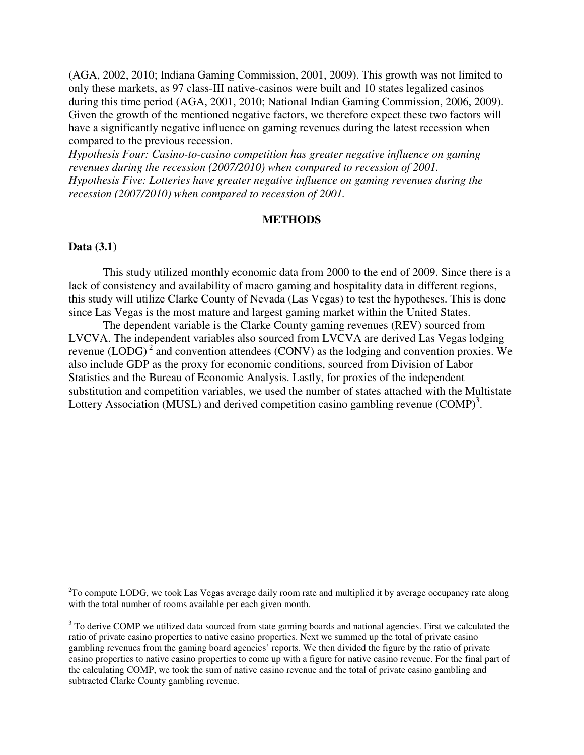(AGA, 2002, 2010; Indiana Gaming Commission, 2001, 2009). This growth was not limited to only these markets, as 97 class-III native-casinos were built and 10 states legalized casinos during this time period (AGA, 2001, 2010; National Indian Gaming Commission, 2006, 2009). Given the growth of the mentioned negative factors, we therefore expect these two factors will have a significantly negative influence on gaming revenues during the latest recession when compared to the previous recession.

*Hypothesis Four: Casino-to-casino competition has greater negative influence on gaming revenues during the recession (2007/2010) when compared to recession of 2001. Hypothesis Five: Lotteries have greater negative influence on gaming revenues during the recession (2007/2010) when compared to recession of 2001.* 

# **METHODS**

# **Data (3.1)**

<u>.</u>

This study utilized monthly economic data from 2000 to the end of 2009. Since there is a lack of consistency and availability of macro gaming and hospitality data in different regions, this study will utilize Clarke County of Nevada (Las Vegas) to test the hypotheses. This is done since Las Vegas is the most mature and largest gaming market within the United States.

The dependent variable is the Clarke County gaming revenues (REV) sourced from LVCVA. The independent variables also sourced from LVCVA are derived Las Vegas lodging revenue (LODG)<sup>2</sup> and convention attendees (CONV) as the lodging and convention proxies. We also include GDP as the proxy for economic conditions, sourced from Division of Labor Statistics and the Bureau of Economic Analysis. Lastly, for proxies of the independent substitution and competition variables, we used the number of states attached with the Multistate Lottery Association (MUSL) and derived competition casino gambling revenue  $(COMP)^3$ .

 $2^2$ To compute LODG, we took Las Vegas average daily room rate and multiplied it by average occupancy rate along with the total number of rooms available per each given month.

 $3$  To derive COMP we utilized data sourced from state gaming boards and national agencies. First we calculated the ratio of private casino properties to native casino properties. Next we summed up the total of private casino gambling revenues from the gaming board agencies' reports. We then divided the figure by the ratio of private casino properties to native casino properties to come up with a figure for native casino revenue. For the final part of the calculating COMP, we took the sum of native casino revenue and the total of private casino gambling and subtracted Clarke County gambling revenue.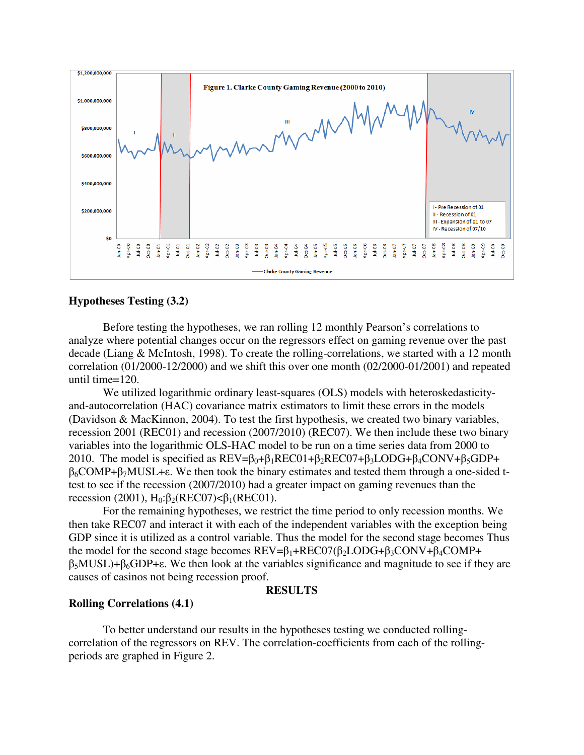

# **Hypotheses Testing (3.2)**

Before testing the hypotheses, we ran rolling 12 monthly Pearson's correlations to analyze where potential changes occur on the regressors effect on gaming revenue over the past decade (Liang & McIntosh, 1998). To create the rolling-correlations, we started with a 12 month correlation (01/2000-12/2000) and we shift this over one month (02/2000-01/2001) and repeated until time=120.

We utilized logarithmic ordinary least-squares (OLS) models with heteroskedasticityand-autocorrelation (HAC) covariance matrix estimators to limit these errors in the models (Davidson & MacKinnon, 2004). To test the first hypothesis, we created two binary variables, recession 2001 (REC01) and recession (2007/2010) (REC07). We then include these two binary variables into the logarithmic OLS-HAC model to be run on a time series data from 2000 to 2010. The model is specified as  $REV = \beta_0 + \beta_1 RECO1 + \beta_2 RECO7 + \beta_3 LODG + \beta_4 CONV + \beta_5 GDP +$  $β<sub>6</sub>COMP+β<sub>7</sub>MUSL+ε.$  We then took the binary estimates and tested them through a one-sided ttest to see if the recession (2007/2010) had a greater impact on gaming revenues than the recession (2001),  $H_0: \beta_2(REC07) < \beta_1(REC01)$ .

For the remaining hypotheses, we restrict the time period to only recession months. We then take REC07 and interact it with each of the independent variables with the exception being GDP since it is utilized as a control variable. Thus the model for the second stage becomes Thus the model for the second stage becomes  $REV=\beta_1+REC07(\beta_2LODG+\beta_3CONV+\beta_4COMP+$  $β_5MUSL)+β_6GDP+\epsilon$ . We then look at the variables significance and magnitude to see if they are causes of casinos not being recession proof.

#### **RESULTS**

# **Rolling Correlations (4.1)**

To better understand our results in the hypotheses testing we conducted rollingcorrelation of the regressors on REV. The correlation-coefficients from each of the rollingperiods are graphed in Figure 2.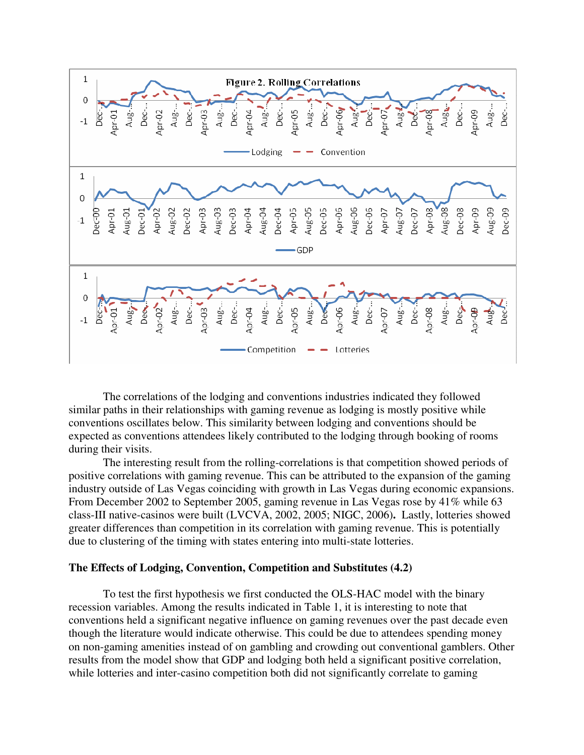

 The correlations of the lodging and conventions industries indicated they followed similar paths in their relationships with gaming revenue as lodging is mostly positive while conventions oscillates below. This similarity between lodging and conventions should be expected as conventions attendees likely contributed to the lodging through booking of rooms during their visits.

The interesting result from the rolling-correlations is that competition showed periods of positive correlations with gaming revenue. This can be attributed to the expansion of the gaming industry outside of Las Vegas coinciding with growth in Las Vegas during economic expansions. From December 2002 to September 2005, gaming revenue in Las Vegas rose by 41% while 63 class-III native-casinos were built (LVCVA, 2002, 2005; NIGC, 2006)**.** Lastly, lotteries showed greater differences than competition in its correlation with gaming revenue. This is potentially due to clustering of the timing with states entering into multi-state lotteries.

#### **The Effects of Lodging, Convention, Competition and Substitutes (4.2)**

 To test the first hypothesis we first conducted the OLS-HAC model with the binary recession variables. Among the results indicated in Table 1, it is interesting to note that conventions held a significant negative influence on gaming revenues over the past decade even though the literature would indicate otherwise. This could be due to attendees spending money on non-gaming amenities instead of on gambling and crowding out conventional gamblers. Other results from the model show that GDP and lodging both held a significant positive correlation, while lotteries and inter-casino competition both did not significantly correlate to gaming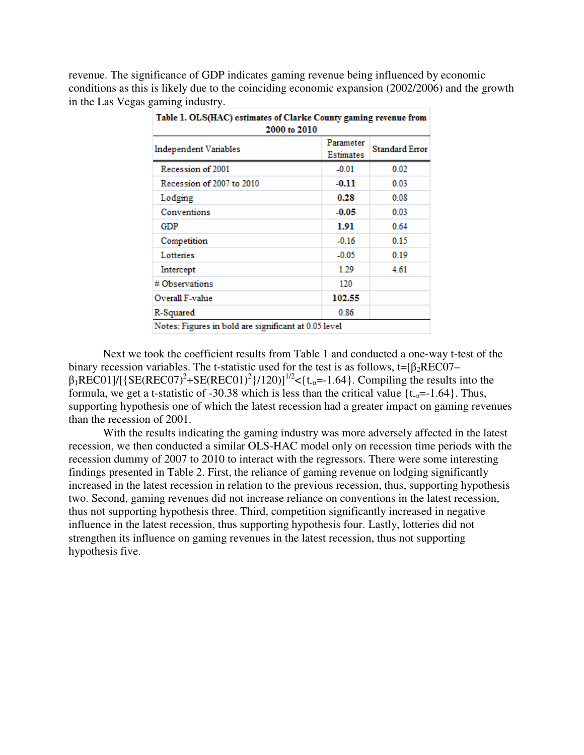revenue. The significance of GDP indicates gaming revenue being influenced by economic conditions as this is likely due to the coinciding economic expansion (2002/2006) and the growth in the Las Vegas gaming industry.

| Table 1. OLS(HAC) estimates of Clarke County gaming revenue from<br>2000 to 2010 |                        |                       |  |
|----------------------------------------------------------------------------------|------------------------|-----------------------|--|
| Independent Variables                                                            | Parameter<br>Estimates | <b>Standard Error</b> |  |
| Recession of 2001                                                                | $-0.01$                | 0.02                  |  |
| Recession of 2007 to 2010                                                        | $-0.11$                | 0.03                  |  |
| Lodging                                                                          | 0.28                   | 0.08                  |  |
| Conventions                                                                      | $-0.05$                | 0.03                  |  |
| GDP                                                                              | 1.91                   | 0.64                  |  |
| Competition                                                                      | $-0.16$                | 0.15                  |  |
| Lottenes                                                                         | $-0.05$                | 0.19                  |  |
| Intercept                                                                        | 1.29                   | 4.61                  |  |
| # Observations                                                                   | 120                    |                       |  |
| Overall F-value                                                                  | 102.55                 |                       |  |
| R-Squared                                                                        | 0.86                   |                       |  |
| Notes: Figures in bold are significant at 0.05 level                             |                        |                       |  |

Next we took the coefficient results from Table 1 and conducted a one-way t-test of the binary recession variables. The t-statistic used for the test is as follows, t= $\beta_2$ REC07–  $\beta_1$ REC01]/[{SE(REC07)<sup>2</sup>+SE(REC01)<sup>2</sup>}/120)]<sup>1/2</sup><{t<sub>-a</sub>=-1.64}. Compiling the results into the formula, we get a t-statistic of -30.38 which is less than the critical value  $\{t_{\alpha} = -1.64\}$ . Thus, supporting hypothesis one of which the latest recession had a greater impact on gaming revenues than the recession of 2001.

With the results indicating the gaming industry was more adversely affected in the latest recession, we then conducted a similar OLS-HAC model only on recession time periods with the recession dummy of 2007 to 2010 to interact with the regressors. There were some interesting findings presented in Table 2. First, the reliance of gaming revenue on lodging significantly increased in the latest recession in relation to the previous recession, thus, supporting hypothesis two. Second, gaming revenues did not increase reliance on conventions in the latest recession, thus not supporting hypothesis three. Third, competition significantly increased in negative influence in the latest recession, thus supporting hypothesis four. Lastly, lotteries did not strengthen its influence on gaming revenues in the latest recession, thus not supporting hypothesis five.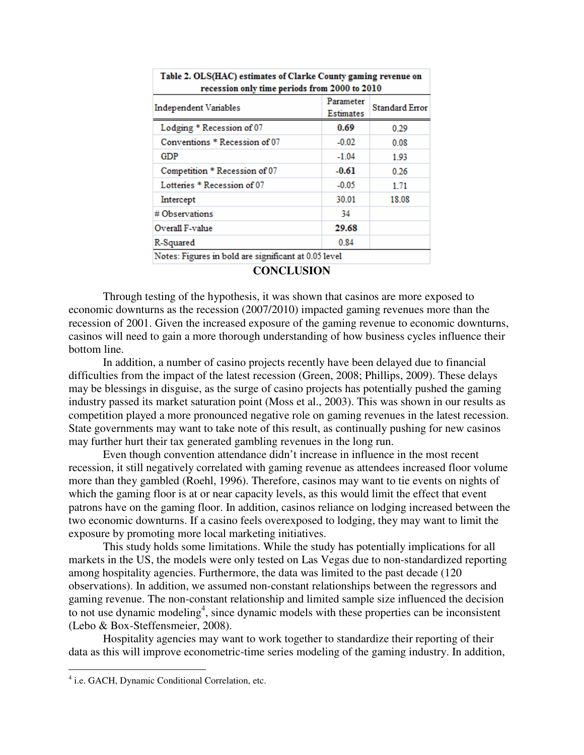| Table 2. OLS(HAC) estimates of Clarke County gaming revenue on |           |                       |  |  |
|----------------------------------------------------------------|-----------|-----------------------|--|--|
| recession only time periods from 2000 to 2010                  |           |                       |  |  |
| Independent Variables                                          | Parameter | <b>Standard Error</b> |  |  |
|                                                                | Estimates |                       |  |  |
| Lodging * Recession of 07                                      | 0.69      | 0.29                  |  |  |
| Conventions * Recession of 07                                  | $-0.02$   | 0.08                  |  |  |
| GDP                                                            | $-1.04$   | 1.93                  |  |  |
| Competition * Recession of 07                                  | $-0.61$   | 0.26                  |  |  |
| Lotteries * Recession of 07                                    | $-0.05$   | 1.71                  |  |  |
| Intercept                                                      | 30.01     | 18.08                 |  |  |
| # Observations                                                 | 34        |                       |  |  |
| Overall F-value                                                | 29.68     |                       |  |  |
| R-Squared                                                      | 0.84      |                       |  |  |
| Notes: Figures in bold are significant at 0.05 level           |           |                       |  |  |

| Table 2. OLS(HAC) estimates of Clarke County gaming revenue on<br>recession only time periods from 2000 to 2010 |           |  |  |  |
|-----------------------------------------------------------------------------------------------------------------|-----------|--|--|--|
|                                                                                                                 | Dommatica |  |  |  |

**CONCLUSION** 

Through testing of the hypothesis, it was shown that casinos are more exposed to economic downturns as the recession (2007/2010) impacted gaming revenues more than the recession of 2001. Given the increased exposure of the gaming revenue to economic downturns, casinos will need to gain a more thorough understanding of how business cycles influence their bottom line.

In addition, a number of casino projects recently have been delayed due to financial difficulties from the impact of the latest recession (Green, 2008; Phillips, 2009). These delays may be blessings in disguise, as the surge of casino projects has potentially pushed the gaming industry passed its market saturation point (Moss et al., 2003). This was shown in our results as competition played a more pronounced negative role on gaming revenues in the latest recession. State governments may want to take note of this result, as continually pushing for new casinos may further hurt their tax generated gambling revenues in the long run.

Even though convention attendance didn't increase in influence in the most recent recession, it still negatively correlated with gaming revenue as attendees increased floor volume more than they gambled (Roehl, 1996). Therefore, casinos may want to tie events on nights of which the gaming floor is at or near capacity levels, as this would limit the effect that event patrons have on the gaming floor. In addition, casinos reliance on lodging increased between the two economic downturns. If a casino feels overexposed to lodging, they may want to limit the exposure by promoting more local marketing initiatives.

 This study holds some limitations. While the study has potentially implications for all markets in the US, the models were only tested on Las Vegas due to non-standardized reporting among hospitality agencies. Furthermore, the data was limited to the past decade (120 observations). In addition, we assumed non-constant relationships between the regressors and gaming revenue. The non-constant relationship and limited sample size influenced the decision to not use dynamic modeling<sup>4</sup>, since dynamic models with these properties can be inconsistent (Lebo & Box-Steffensmeier, 2008).

 Hospitality agencies may want to work together to standardize their reporting of their data as this will improve econometric-time series modeling of the gaming industry. In addition,

 4 i.e. GACH, Dynamic Conditional Correlation, etc.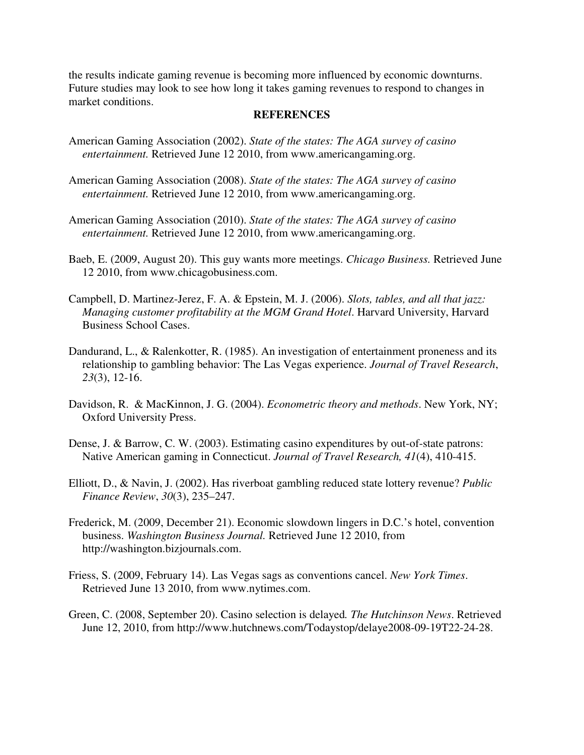the results indicate gaming revenue is becoming more influenced by economic downturns. Future studies may look to see how long it takes gaming revenues to respond to changes in market conditions.

# **REFERENCES**

- American Gaming Association (2002). *State of the states: The AGA survey of casino entertainment.* Retrieved June 12 2010, from www.americangaming.org.
- American Gaming Association (2008). *State of the states: The AGA survey of casino entertainment.* Retrieved June 12 2010, from www.americangaming.org.
- American Gaming Association (2010). *State of the states: The AGA survey of casino entertainment.* Retrieved June 12 2010, from www.americangaming.org.
- Baeb, E. (2009, August 20). This guy wants more meetings. *Chicago Business.* Retrieved June 12 2010, from www.chicagobusiness.com.
- Campbell, D. Martinez-Jerez, F. A. & Epstein, M. J. (2006). *Slots, tables, and all that jazz: Managing customer profitability at the MGM Grand Hotel*. Harvard University, Harvard Business School Cases.
- Dandurand, L., & Ralenkotter, R. (1985). An investigation of entertainment proneness and its relationship to gambling behavior: The Las Vegas experience. *Journal of Travel Research*, *23*(3), 12-16.
- Davidson, R. & MacKinnon, J. G. (2004). *Econometric theory and methods*. New York, NY; Oxford University Press.
- Dense, J. & Barrow, C. W. (2003). Estimating casino expenditures by out-of-state patrons: Native American gaming in Connecticut. *Journal of Travel Research, 41*(4), 410-415.
- Elliott, D., & Navin, J. (2002). Has riverboat gambling reduced state lottery revenue? *Public Finance Review*, *30*(3), 235–247.
- Frederick, M. (2009, December 21). Economic slowdown lingers in D.C.'s hotel, convention business. *Washington Business Journal.* Retrieved June 12 2010, from http://washington.bizjournals.com.
- Friess, S. (2009, February 14). Las Vegas sags as conventions cancel. *New York Times*. Retrieved June 13 2010, from www.nytimes.com.
- Green, C. (2008, September 20). Casino selection is delayed*. The Hutchinson News*. Retrieved June 12, 2010, from http://www.hutchnews.com/Todaystop/delaye2008-09-19T22-24-28.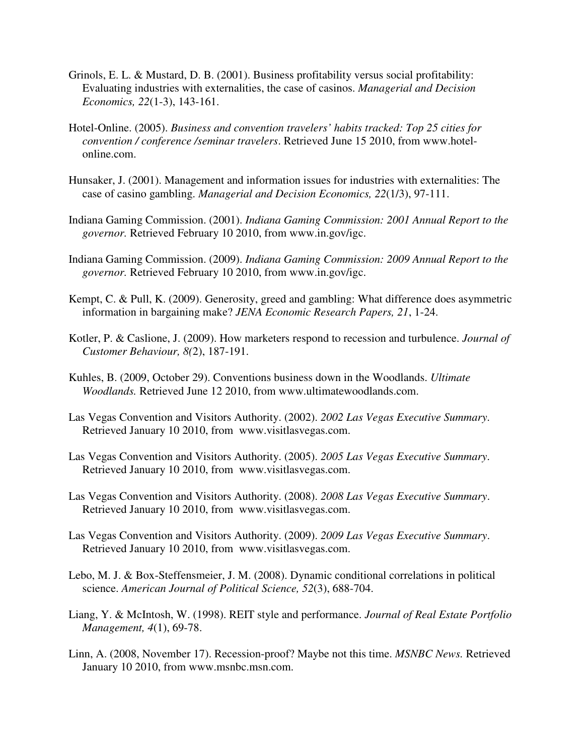- Grinols, E. L. & Mustard, D. B. (2001). Business profitability versus social profitability: Evaluating industries with externalities, the case of casinos. *Managerial and Decision Economics, 22*(1-3), 143-161.
- Hotel-Online. (2005). *Business and convention travelers' habits tracked: Top 25 cities for convention / conference /seminar travelers*. Retrieved June 15 2010, from www.hotelonline.com.
- Hunsaker, J. (2001). Management and information issues for industries with externalities: The case of casino gambling. *Managerial and Decision Economics, 22*(1/3), 97-111.
- Indiana Gaming Commission. (2001). *Indiana Gaming Commission: 2001 Annual Report to the governor.* Retrieved February 10 2010, from www.in.gov/igc.
- Indiana Gaming Commission. (2009). *Indiana Gaming Commission: 2009 Annual Report to the governor.* Retrieved February 10 2010, from www.in.gov/igc.
- Kempt, C. & Pull, K. (2009). Generosity, greed and gambling: What difference does asymmetric information in bargaining make? *JENA Economic Research Papers, 21*, 1-24.
- Kotler, P. & Caslione, J. (2009). How marketers respond to recession and turbulence. *Journal of Customer Behaviour, 8(*2), 187-191.
- Kuhles, B. (2009, October 29). Conventions business down in the Woodlands. *Ultimate Woodlands.* Retrieved June 12 2010, from www.ultimatewoodlands.com.
- Las Vegas Convention and Visitors Authority. (2002). *2002 Las Vegas Executive Summary*. Retrieved January 10 2010, from www.visitlasvegas.com.
- Las Vegas Convention and Visitors Authority. (2005). *2005 Las Vegas Executive Summary*. Retrieved January 10 2010, from www.visitlasvegas.com.
- Las Vegas Convention and Visitors Authority. (2008). *2008 Las Vegas Executive Summary*. Retrieved January 10 2010, from www.visitlasvegas.com.
- Las Vegas Convention and Visitors Authority. (2009). *2009 Las Vegas Executive Summary*. Retrieved January 10 2010, from www.visitlasvegas.com.
- Lebo, M. J. & Box-Steffensmeier, J. M. (2008). Dynamic conditional correlations in political science. *American Journal of Political Science, 52*(3), 688-704.
- Liang, Y. & McIntosh, W. (1998). REIT style and performance. *Journal of Real Estate Portfolio Management, 4*(1), 69-78.
- Linn, A. (2008, November 17). Recession-proof? Maybe not this time. *MSNBC News.* Retrieved January 10 2010, from www.msnbc.msn.com.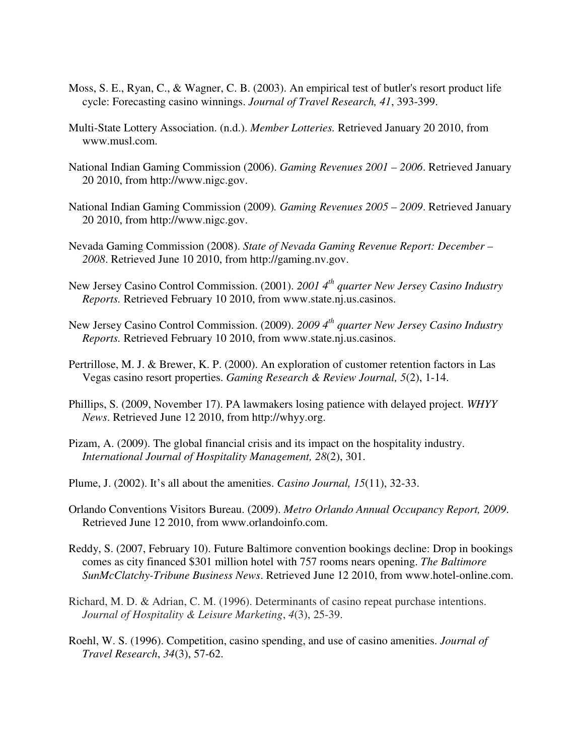- Moss, S. E., Ryan, C., & Wagner, C. B. (2003). An empirical test of butler's resort product life cycle: Forecasting casino winnings. *Journal of Travel Research, 41*, 393-399.
- Multi-State Lottery Association. (n.d.). *Member Lotteries.* Retrieved January 20 2010, from www.musl.com.
- National Indian Gaming Commission (2006). *Gaming Revenues 2001 2006*. Retrieved January 20 2010, from http://www.nigc.gov.
- National Indian Gaming Commission (2009)*. Gaming Revenues 2005 2009*. Retrieved January 20 2010, from http://www.nigc.gov.
- Nevada Gaming Commission (2008). *State of Nevada Gaming Revenue Report: December 2008*. Retrieved June 10 2010, from http://gaming.nv.gov.
- New Jersey Casino Control Commission. (2001). *2001 4th quarter New Jersey Casino Industry Reports.* Retrieved February 10 2010, from www.state.nj.us.casinos.
- New Jersey Casino Control Commission. (2009). *2009 4th quarter New Jersey Casino Industry Reports.* Retrieved February 10 2010, from www.state.nj.us.casinos.
- Pertrillose, M. J. & Brewer, K. P. (2000). An exploration of customer retention factors in Las Vegas casino resort properties. *Gaming Research & Review Journal, 5*(2), 1-14.
- Phillips, S. (2009, November 17). PA lawmakers losing patience with delayed project. *WHYY News*. Retrieved June 12 2010, from http://whyy.org.
- Pizam, A. (2009). The global financial crisis and its impact on the hospitality industry. *International Journal of Hospitality Management, 28*(2), 301.
- Plume, J. (2002). It's all about the amenities. *Casino Journal, 15*(11), 32-33.
- Orlando Conventions Visitors Bureau. (2009). *Metro Orlando Annual Occupancy Report, 2009*. Retrieved June 12 2010, from www.orlandoinfo.com.
- Reddy, S. (2007, February 10). Future Baltimore convention bookings decline: Drop in bookings comes as city financed \$301 million hotel with 757 rooms nears opening. *The Baltimore SunMcClatchy-Tribune Business News*. Retrieved June 12 2010, from www.hotel-online.com.
- Richard, M. D. & Adrian, C. M. (1996). Determinants of casino repeat purchase intentions. *Journal of Hospitality & Leisure Marketing*, *4*(3), 25-39.
- Roehl, W. S. (1996). Competition, casino spending, and use of casino amenities. *Journal of Travel Research*, *34*(3), 57-62.